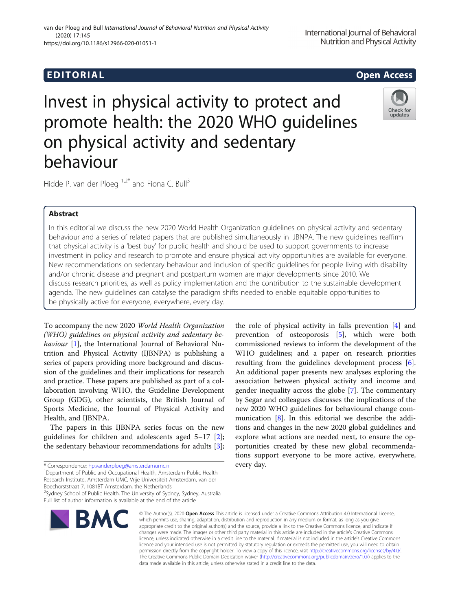# Invest in physical activity to protect and promote health: the 2020 WHO guidelines on physical activity and sedentary behaviour

Hidde P. van der Ploeg  $1.2^*$  and Fiona C. Bull<sup>3</sup>

## Abstract

In this editorial we discuss the new 2020 World Health Organization guidelines on physical activity and sedentary behaviour and a series of related papers that are published simultaneously in IJBNPA. The new guidelines reaffirm that physical activity is a 'best buy' for public health and should be used to support governments to increase investment in policy and research to promote and ensure physical activity opportunities are available for everyone. New recommendations on sedentary behaviour and inclusion of specific guidelines for people living with disability and/or chronic disease and pregnant and postpartum women are major developments since 2010. We discuss research priorities, as well as policy implementation and the contribution to the sustainable development agenda. The new guidelines can catalyse the paradigm shifts needed to enable equitable opportunities to be physically active for everyone, everywhere, every day.

To accompany the new 2020 World Health Organization (WHO) guidelines on physical activity and sedentary be-haviour [[1\]](#page-2-0), the International Journal of Behavioral Nutrition and Physical Activity (IJBNPA) is publishing a series of papers providing more background and discussion of the guidelines and their implications for research and practice. These papers are published as part of a collaboration involving WHO, the Guideline Development Group (GDG), other scientists, the British Journal of Sports Medicine, the Journal of Physical Activity and Health, and IJBNPA.

The papers in this IJBNPA series focus on the new guidelines for children and adolescents aged 5–17 [\[2](#page-2-0)]; the sedentary behaviour recommendations for adults [\[3](#page-2-0)];

\* Correspondence: [hp.vanderploeg@amsterdamumc.nl](mailto:hp.vanderploeg@amsterdamumc.nl) <sup>1</sup>

<sup>1</sup> Department of Public and Occupational Health, Amsterdam Public Health Research Institute, Amsterdam UMC, Vrije Universiteit Amsterdam, van der Boechorststraat 7, 1081BT Amsterdam, the Netherlands

<sup>2</sup>Sydney School of Public Health, The University of Sydney, Sydney, Australia Full list of author information is available at the end of the article

# tions support everyone to be more active, everywhere, every day. © The Author(s), 2020 **Open Access** This article is licensed under a Creative Commons Attribution 4.0 International License,

the role of physical activity in falls prevention [[4\]](#page-2-0) and prevention of osteoporosis [\[5](#page-2-0)], which were both commissioned reviews to inform the development of the WHO guidelines; and a paper on research priorities resulting from the guidelines development process [\[6](#page-3-0)]. An additional paper presents new analyses exploring the association between physical activity and income and gender inequality across the globe [[7](#page-3-0)]. The commentary by Segar and colleagues discusses the implications of the new 2020 WHO guidelines for behavioural change communication [\[8](#page-3-0)]. In this editorial we describe the additions and changes in the new 2020 global guidelines and explore what actions are needed next, to ensure the opportunities created by these new global recommenda-

which permits use, sharing, adaptation, distribution and reproduction in any medium or format, as long as you give appropriate credit to the original author(s) and the source, provide a link to the Creative Commons licence, and indicate if changes were made. The images or other third party material in this article are included in the article's Creative Commons licence, unless indicated otherwise in a credit line to the material. If material is not included in the article's Creative Commons licence and your intended use is not permitted by statutory regulation or exceeds the permitted use, you will need to obtain permission directly from the copyright holder. To view a copy of this licence, visit [http://creativecommons.org/licenses/by/4.0/.](http://creativecommons.org/licenses/by/4.0/) The Creative Commons Public Domain Dedication waiver [\(http://creativecommons.org/publicdomain/zero/1.0/](http://creativecommons.org/publicdomain/zero/1.0/)) applies to the data made available in this article, unless otherwise stated in a credit line to the data.

EDI TORIA L Open Access

van der Ploeg and Bull International Journal of Behavioral Nutrition and Physical Activity (2020) 17:145 https://doi.org/10.1186/s12966-020-01051-1





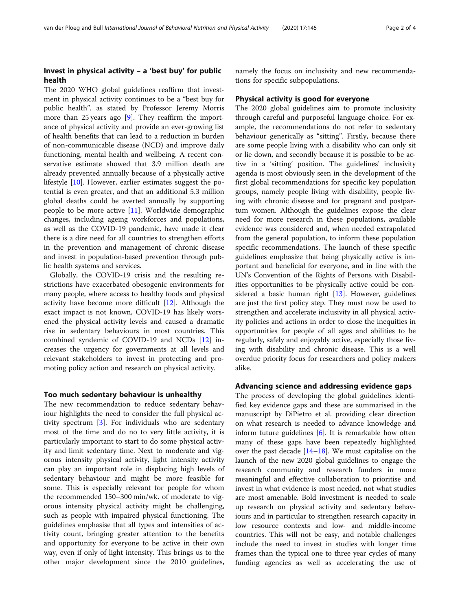### Invest in physical activity – a 'best buy' for public health

The 2020 WHO global guidelines reaffirm that investment in physical activity continues to be a "best buy for public health", as stated by Professor Jeremy Morris more than 25 years ago [\[9](#page-3-0)]. They reaffirm the importance of physical activity and provide an ever-growing list of health benefits that can lead to a reduction in burden of non-communicable disease (NCD) and improve daily functioning, mental health and wellbeing. A recent conservative estimate showed that 3.9 million death are already prevented annually because of a physically active lifestyle [\[10](#page-3-0)]. However, earlier estimates suggest the potential is even greater, and that an additional 5.3 million global deaths could be averted annually by supporting people to be more active [[11\]](#page-3-0). Worldwide demographic changes, including ageing workforces and populations, as well as the COVID-19 pandemic, have made it clear there is a dire need for all countries to strengthen efforts in the prevention and management of chronic disease and invest in population-based prevention through public health systems and services.

Globally, the COVID-19 crisis and the resulting restrictions have exacerbated obesogenic environments for many people, where access to healthy foods and physical activity have become more difficult [[12\]](#page-3-0). Although the exact impact is not known, COVID-19 has likely worsened the physical activity levels and caused a dramatic rise in sedentary behaviours in most countries. This combined syndemic of COVID-19 and NCDs [\[12\]](#page-3-0) increases the urgency for governments at all levels and relevant stakeholders to invest in protecting and promoting policy action and research on physical activity.

#### Too much sedentary behaviour is unhealthy

The new recommendation to reduce sedentary behaviour highlights the need to consider the full physical activity spectrum [\[3](#page-2-0)]. For individuals who are sedentary most of the time and do no to very little activity, it is particularly important to start to do some physical activity and limit sedentary time. Next to moderate and vigorous intensity physical activity, light intensity activity can play an important role in displacing high levels of sedentary behaviour and might be more feasible for some. This is especially relevant for people for whom the recommended 150–300 min/wk. of moderate to vigorous intensity physical activity might be challenging, such as people with impaired physical functioning. The guidelines emphasise that all types and intensities of activity count, bringing greater attention to the benefits and opportunity for everyone to be active in their own way, even if only of light intensity. This brings us to the other major development since the 2010 guidelines, namely the focus on inclusivity and new recommendations for specific subpopulations.

#### Physical activity is good for everyone

The 2020 global guidelines aim to promote inclusivity through careful and purposeful language choice. For example, the recommendations do not refer to sedentary behaviour generically as "sitting". Firstly, because there are some people living with a disability who can only sit or lie down, and secondly because it is possible to be active in a 'sitting' position. The guidelines' inclusivity agenda is most obviously seen in the development of the first global recommendations for specific key population groups, namely people living with disability, people living with chronic disease and for pregnant and postpartum women. Although the guidelines expose the clear need for more research in these populations, available evidence was considered and, when needed extrapolated from the general population, to inform these population specific recommendations. The launch of these specific guidelines emphasize that being physically active is important and beneficial for everyone, and in line with the UN's Convention of the Rights of Persons with Disabilities opportunities to be physically active could be considered a basic human right [\[13\]](#page-3-0). However, guidelines are just the first policy step. They must now be used to strengthen and accelerate inclusivity in all physical activity policies and actions in order to close the inequities in opportunities for people of all ages and abilities to be regularly, safely and enjoyably active, especially those living with disability and chronic disease. This is a well overdue priority focus for researchers and policy makers alike.

#### Advancing science and addressing evidence gaps

The process of developing the global guidelines identified key evidence gaps and these are summarised in the manuscript by DiPietro et al. providing clear direction on what research is needed to advance knowledge and inform future guidelines [[6\]](#page-3-0). It is remarkable how often many of these gaps have been repeatedly highlighted over the past decade [[14](#page-3-0)–[18\]](#page-3-0). We must capitalise on the launch of the new 2020 global guidelines to engage the research community and research funders in more meaningful and effective collaboration to prioritise and invest in what evidence is most needed, not what studies are most amenable. Bold investment is needed to scale up research on physical activity and sedentary behaviours and in particular to strengthen research capacity in low resource contexts and low- and middle-income countries. This will not be easy, and notable challenges include the need to invest in studies with longer time frames than the typical one to three year cycles of many funding agencies as well as accelerating the use of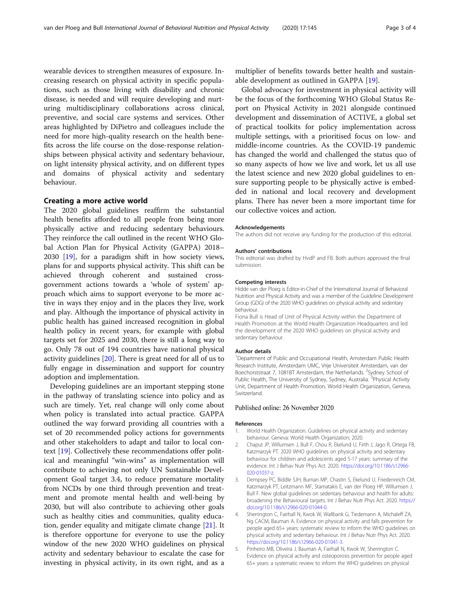<span id="page-2-0"></span>wearable devices to strengthen measures of exposure. Increasing research on physical activity in specific populations, such as those living with disability and chronic disease, is needed and will require developing and nurturing multidisciplinary collaborations across clinical, preventive, and social care systems and services. Other areas highlighted by DiPietro and colleagues include the need for more high-quality research on the health benefits across the life course on the dose-response relationships between physical activity and sedentary behaviour, on light intensity physical activity, and on different types and domains of physical activity and sedentary behaviour.

#### Creating a more active world

The 2020 global guidelines reaffirm the substantial health benefits afforded to all people from being more physically active and reducing sedentary behaviours. They reinforce the call outlined in the recent WHO Global Action Plan for Physical Activity (GAPPA) 2018– 2030 [[19\]](#page-3-0), for a paradigm shift in how society views, plans for and supports physical activity. This shift can be achieved through coherent and sustained crossgovernment actions towards a 'whole of system' approach which aims to support everyone to be more active in ways they enjoy and in the places they live, work and play. Although the importance of physical activity in public health has gained increased recognition in global health policy in recent years, for example with global targets set for 2025 and 2030, there is still a long way to go. Only 78 out of 194 countries have national physical activity guidelines [\[20\]](#page-3-0). There is great need for all of us to fully engage in dissemination and support for country adoption and implementation.

Developing guidelines are an important stepping stone in the pathway of translating science into policy and as such are timely. Yet, real change will only come about when policy is translated into actual practice. GAPPA outlined the way forward providing all countries with a set of 20 recommended policy actions for governments and other stakeholders to adapt and tailor to local context [\[19](#page-3-0)]. Collectively these recommendations offer political and meaningful "win-wins" as implementation will contribute to achieving not only UN Sustainable Development Goal target 3.4, to reduce premature mortality from NCDs by one third through prevention and treatment and promote mental health and well-being by 2030, but will also contribute to achieving other goals such as healthy cities and communities, quality education, gender equality and mitigate climate change [[21\]](#page-3-0). It is therefore opportune for everyone to use the policy window of the new 2020 WHO guidelines on physical activity and sedentary behaviour to escalate the case for investing in physical activity, in its own right, and as a multiplier of benefits towards better health and sustainable development as outlined in GAPPA [[19](#page-3-0)].

Global advocacy for investment in physical activity will be the focus of the forthcoming WHO Global Status Report on Physical Activity in 2021 alongside continued development and dissemination of ACTIVE, a global set of practical toolkits for policy implementation across multiple settings, with a prioritised focus on low- and middle-income countries. As the COVID-19 pandemic has changed the world and challenged the status quo of so many aspects of how we live and work, let us all use the latest science and new 2020 global guidelines to ensure supporting people to be physically active is embedded in national and local recovery and development plans. There has never been a more important time for our collective voices and action.

#### Acknowledgements

The authors did not receive any funding for the production of this editorial.

#### Authors' contributions

This editorial was drafted by HvdP and FB. Both authors approved the final submission.

#### Competing interests

Hidde van der Ploeg is Editor-in-Chief of the International Journal of Behavioral Nutrition and Physical Activity and was a member of the Guideline Development Group (GDG) of the 2020 WHO guidelines on physical activity and sedentary behaviour.

Fiona Bull is Head of Unit of Physical Activity within the Department of Health Promotion at the World Health Organization Headquarters and led the development of the 2020 WHO guidelines on physical activity and sedentary behaviour.

#### Author details

<sup>1</sup>Department of Public and Occupational Health, Amsterdam Public Health Research Institute, Amsterdam UMC, Vrije Universiteit Amsterdam, van der Boechorststraat 7, 1081BT Amsterdam, the Netherlands. <sup>2</sup>Sydney School of Public Health, The University of Sydney, Sydney, Australia. <sup>3</sup>Physical Activity Unit, Department of Health Promotion, World Health Organization, Geneva, **Switzerland** 

#### Published online: 26 November 2020

#### References

- 1. World Health Organization. Guidelines on physical activity and sedentary behaviour. Geneva: World Health Organization; 2020.
- 2. Chaput JP, Willumsen J, Bull F, Chou R, Ekelund U, Firth J, Jago R, Ortega FB, Katzmarzyk PT. 2020 WHO guidelines on physical activity and sedentary behaviour for children and adolescents aged 5-17 years: summary of the evidence. Int J Behav Nutr Phys Act. 2020. [https://doi.org/10.1186/s12966-](https://doi.org/10.1186/s12966-020-01037-z) [020-01037-z.](https://doi.org/10.1186/s12966-020-01037-z)
- 3. Dempsey PC, Biddle SJH, Buman MP, Chastin S, Ekelund U, Friedenreich CM, Katzmarzyk PT, Leitzmann MF, Stamatakis E, van der Ploeg HP, Willumsen J, Bull F. New global guidelines on sedentary behaviour and health for adults: broadening the Behavioural targets. Int J Behav Nutr Phys Act. 2020. [https://](https://doi.org/10.1186/s12966-020-01044-0) [doi.org/10.1186/s12966-020-01044-0.](https://doi.org/10.1186/s12966-020-01044-0)
- 4. Sherrington C, Fairhall N, Kwok W, Wallbank G, Tiedemann A, Michaleff ZA, Ng CACM, Bauman A. Evidence on physical activity and falls prevention for people aged 65+ years: systematic review to inform the WHO guidelines on physical activity and sedentary behaviour. Int J Behav Nutr Phys Act. 2020. [https://doi.org/10.1186/s12966-020-01041-3.](https://doi.org/10.1186/s12966-020-01041-3)
- 5. Pinheiro MB, Oliveira J, Bauman A, Fairhall N, Kwok W, Sherrington C. Evidence on physical activity and osteoporosis prevention for people aged 65+ years: a systematic review to inform the WHO guidelines on physical